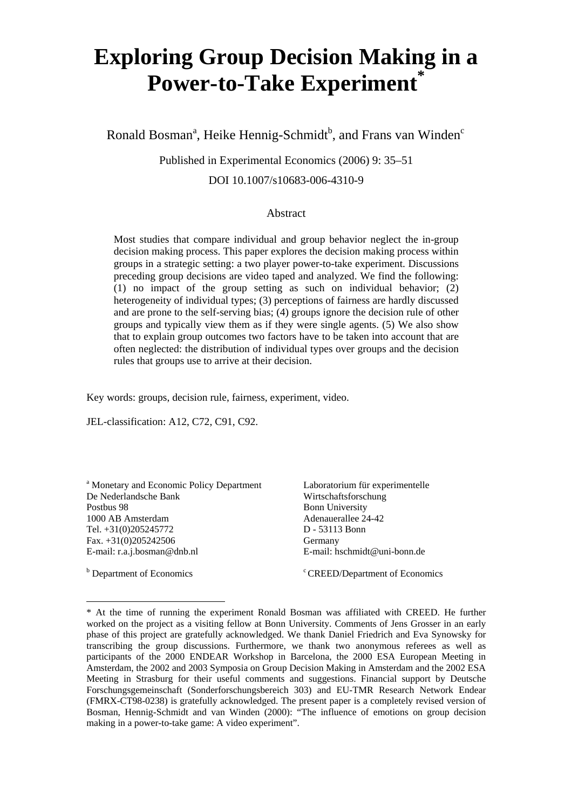# **Exploring Group Decision Making in a**  Power-to-Take Experiment<sup>\*</sup>

Ronald Bosman<sup>a</sup>, Heike Hennig-Schmidt<sup>b</sup>, and Frans van Winden<sup>c</sup>

Published in Experimental Economics (2006) 9: 35–51

DOI 10.1007/s10683-006-4310-9

#### Abstract

Most studies that compare individual and group behavior neglect the in-group decision making process. This paper explores the decision making process within groups in a strategic setting: a two player power-to-take experiment. Discussions preceding group decisions are video taped and analyzed. We find the following: (1) no impact of the group setting as such on individual behavior; (2) heterogeneity of individual types; (3) perceptions of fairness are hardly discussed and are prone to the self-serving bias; (4) groups ignore the decision rule of other groups and typically view them as if they were single agents. (5) We also show that to explain group outcomes two factors have to be taken into account that are often neglected: the distribution of individual types over groups and the decision rules that groups use to arrive at their decision.

Key words: groups, decision rule, fairness, experiment, video.

JEL-classification: A12, C72, C91, C92.

| <sup>a</sup> Monetary and Economic Policy Department |
|------------------------------------------------------|
| De Nederlandsche Bank                                |
| Postbus 98                                           |
| 1000 AB Amsterdam                                    |
| Tel. $+31(0)205245772$                               |
| Fax. $+31(0)205242506$                               |
| E-mail: r.a.j.bosman@dnb.nl                          |
|                                                      |

**b** Department of Economics

 $\overline{a}$ 

Laboratorium für experimentelle Wirtschaftsforschung Bonn University Adenauerallee 24-42 D - 53113 Bonn Germany E-mail: hschmidt@uni-bonn.de

c CREED/Department of Economics

<sup>\*</sup> At the time of running the experiment Ronald Bosman was affiliated with CREED. He further worked on the project as a visiting fellow at Bonn University. Comments of Jens Grosser in an early phase of this project are gratefully acknowledged. We thank Daniel Friedrich and Eva Synowsky for transcribing the group discussions. Furthermore, we thank two anonymous referees as well as participants of the 2000 ENDEAR Workshop in Barcelona, the 2000 ESA European Meeting in Amsterdam, the 2002 and 2003 Symposia on Group Decision Making in Amsterdam and the 2002 ESA Meeting in Strasburg for their useful comments and suggestions. Financial support by Deutsche Forschungsgemeinschaft (Sonderforschungsbereich 303) and EU-TMR Research Network Endear (FMRX-CT98-0238) is gratefully acknowledged. The present paper is a completely revised version of Bosman, Hennig-Schmidt and van Winden (2000): "The influence of emotions on group decision making in a power-to-take game: A video experiment".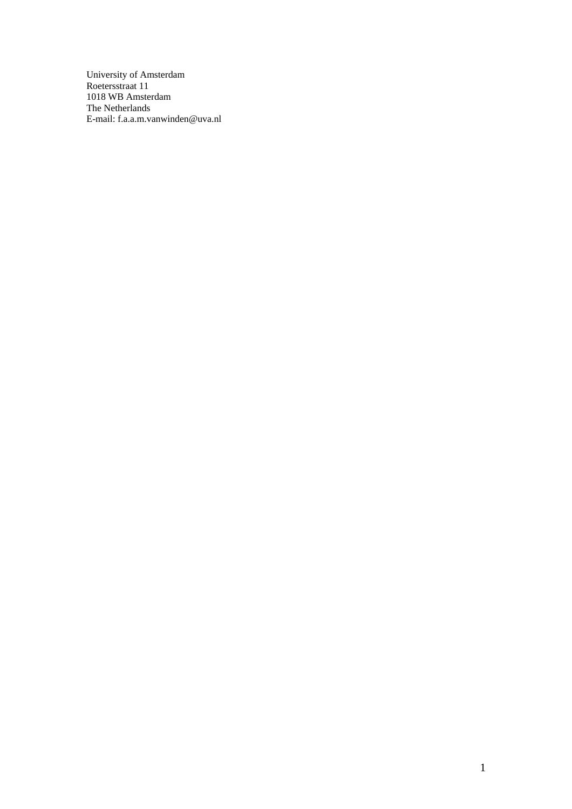University of Amsterdam Roetersstraat 11 1018 WB Amsterdam The Netherlands E-mail: f.a.a.m.vanwinden@uva.nl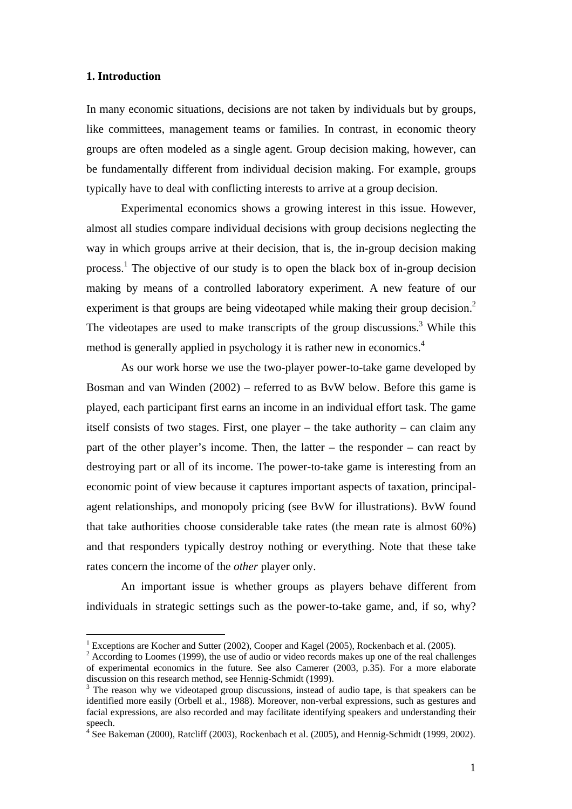#### **1. Introduction**

 $\overline{a}$ 

In many economic situations, decisions are not taken by individuals but by groups, like committees, management teams or families. In contrast, in economic theory groups are often modeled as a single agent. Group decision making, however, can be fundamentally different from individual decision making. For example, groups typically have to deal with conflicting interests to arrive at a group decision.

Experimental economics shows a growing interest in this issue. However, almost all studies compare individual decisions with group decisions neglecting the way in which groups arrive at their decision, that is, the in-group decision making process.<sup>1</sup> The objective of our study is to open the black box of in-group decision making by means of a controlled laboratory experiment. A new feature of our experiment is that groups are being videotaped while making their group decision.<sup>2</sup> The videotapes are used to make transcripts of the group discussions.<sup>3</sup> While this method is generally applied in psychology it is rather new in economics.<sup>4</sup>

As our work horse we use the two-player power-to-take game developed by Bosman and van Winden (2002) – referred to as BvW below. Before this game is played, each participant first earns an income in an individual effort task. The game itself consists of two stages. First, one player – the take authority – can claim any part of the other player's income. Then, the latter – the responder – can react by destroying part or all of its income. The power-to-take game is interesting from an economic point of view because it captures important aspects of taxation, principalagent relationships, and monopoly pricing (see BvW for illustrations). BvW found that take authorities choose considerable take rates (the mean rate is almost 60%) and that responders typically destroy nothing or everything. Note that these take rates concern the income of the *other* player only.

An important issue is whether groups as players behave different from individuals in strategic settings such as the power-to-take game, and, if so, why?

<sup>&</sup>lt;sup>1</sup> Exceptions are Kocher and Sutter (2002), Cooper and Kagel (2005), Rockenbach et al. (2005).

 $2 \text{ According to Loomes (1999), the use of audio or video records makes up one of the real challenges}$ of experimental economics in the future. See also Camerer (2003, p.35). For a more elaborate discussion on this research method, see Hennig-Schmidt (1999).

 $3$  The reason why we videotaped group discussions, instead of audio tape, is that speakers can be identified more easily (Orbell et al., 1988). Moreover, non-verbal expressions, such as gestures and facial expressions, are also recorded and may facilitate identifying speakers and understanding their speech.

 $4\overline{S}$  See Bakeman (2000), Ratcliff (2003), Rockenbach et al. (2005), and Hennig-Schmidt (1999, 2002).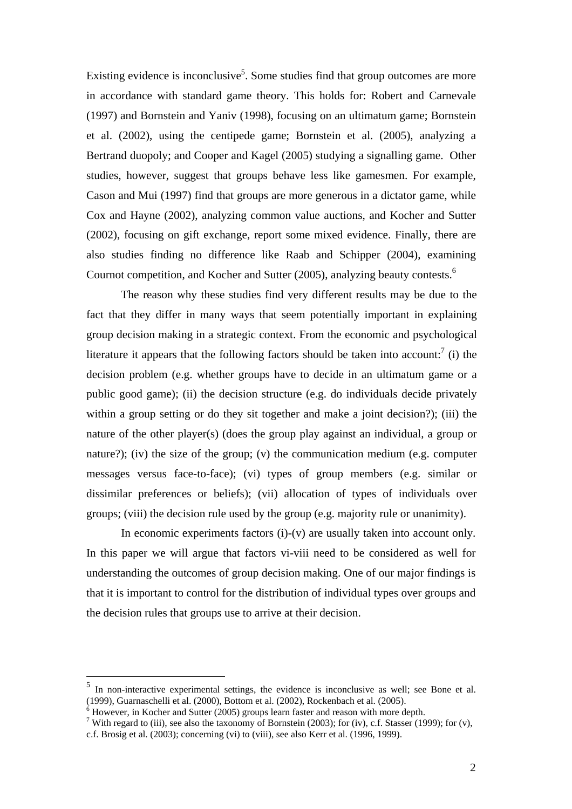Existing evidence is inconclusive<sup>5</sup>. Some studies find that group outcomes are more in accordance with standard game theory. This holds for: Robert and Carnevale (1997) and Bornstein and Yaniv (1998), focusing on an ultimatum game; Bornstein et al. (2002), using the centipede game; Bornstein et al. (2005), analyzing a Bertrand duopoly; and Cooper and Kagel (2005) studying a signalling game. Other studies, however, suggest that groups behave less like gamesmen. For example, Cason and Mui (1997) find that groups are more generous in a dictator game, while Cox and Hayne (2002), analyzing common value auctions, and Kocher and Sutter (2002), focusing on gift exchange, report some mixed evidence. Finally, there are also studies finding no difference like Raab and Schipper (2004), examining Cournot competition, and Kocher and Sutter (2005), analyzing beauty contests.<sup>6</sup>

The reason why these studies find very different results may be due to the fact that they differ in many ways that seem potentially important in explaining group decision making in a strategic context. From the economic and psychological literature it appears that the following factors should be taken into account:<sup>7</sup> (i) the decision problem (e.g. whether groups have to decide in an ultimatum game or a public good game); (ii) the decision structure (e.g. do individuals decide privately within a group setting or do they sit together and make a joint decision?); (iii) the nature of the other player(s) (does the group play against an individual, a group or nature?); (iv) the size of the group; (v) the communication medium (e.g. computer messages versus face-to-face); (vi) types of group members (e.g. similar or dissimilar preferences or beliefs); (vii) allocation of types of individuals over groups; (viii) the decision rule used by the group (e.g. majority rule or unanimity).

In economic experiments factors (i)-(v) are usually taken into account only. In this paper we will argue that factors vi-viii need to be considered as well for understanding the outcomes of group decision making. One of our major findings is that it is important to control for the distribution of individual types over groups and the decision rules that groups use to arrive at their decision.

<sup>5</sup> In non-interactive experimental settings, the evidence is inconclusive as well; see Bone et al. (1999), Guarnaschelli et al. (2000), Bottom et al. (2002), Rockenbach et al. (2005).

 $6$  However, in Kocher and Sutter (2005) groups learn faster and reason with more depth.

<sup>&</sup>lt;sup>7</sup> With regard to (iii), see also the taxonomy of Bornstein (2003); for (iv), c.f. Stasser (1999); for (v),

c.f. Brosig et al. (2003); concerning (vi) to (viii), see also Kerr et al. (1996, 1999).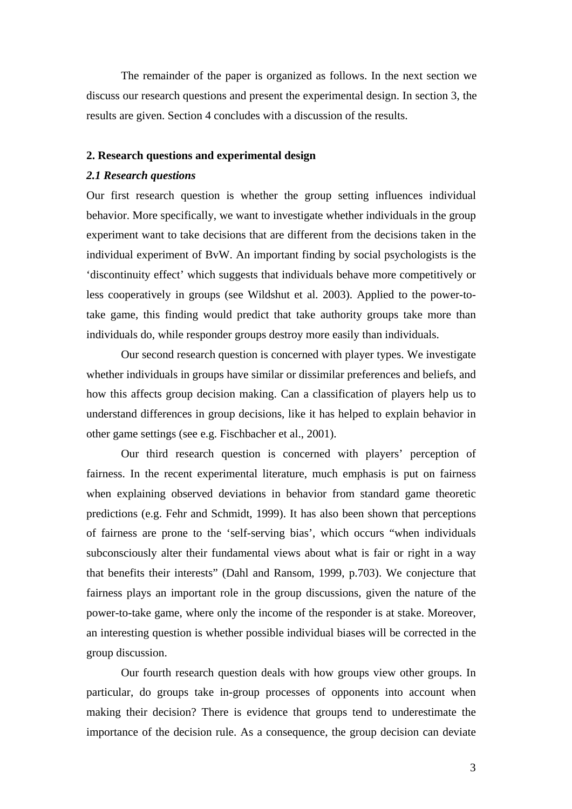The remainder of the paper is organized as follows. In the next section we discuss our research questions and present the experimental design. In section 3, the results are given. Section 4 concludes with a discussion of the results.

#### **2. Research questions and experimental design**

#### *2.1 Research questions*

Our first research question is whether the group setting influences individual behavior. More specifically, we want to investigate whether individuals in the group experiment want to take decisions that are different from the decisions taken in the individual experiment of BvW. An important finding by social psychologists is the 'discontinuity effect' which suggests that individuals behave more competitively or less cooperatively in groups (see Wildshut et al. 2003). Applied to the power-totake game, this finding would predict that take authority groups take more than individuals do, while responder groups destroy more easily than individuals.

Our second research question is concerned with player types. We investigate whether individuals in groups have similar or dissimilar preferences and beliefs, and how this affects group decision making. Can a classification of players help us to understand differences in group decisions, like it has helped to explain behavior in other game settings (see e.g. Fischbacher et al., 2001).

Our third research question is concerned with players' perception of fairness. In the recent experimental literature, much emphasis is put on fairness when explaining observed deviations in behavior from standard game theoretic predictions (e.g. Fehr and Schmidt, 1999). It has also been shown that perceptions of fairness are prone to the 'self-serving bias', which occurs "when individuals subconsciously alter their fundamental views about what is fair or right in a way that benefits their interests" (Dahl and Ransom, 1999, p.703). We conjecture that fairness plays an important role in the group discussions, given the nature of the power-to-take game, where only the income of the responder is at stake. Moreover, an interesting question is whether possible individual biases will be corrected in the group discussion.

Our fourth research question deals with how groups view other groups. In particular, do groups take in-group processes of opponents into account when making their decision? There is evidence that groups tend to underestimate the importance of the decision rule. As a consequence, the group decision can deviate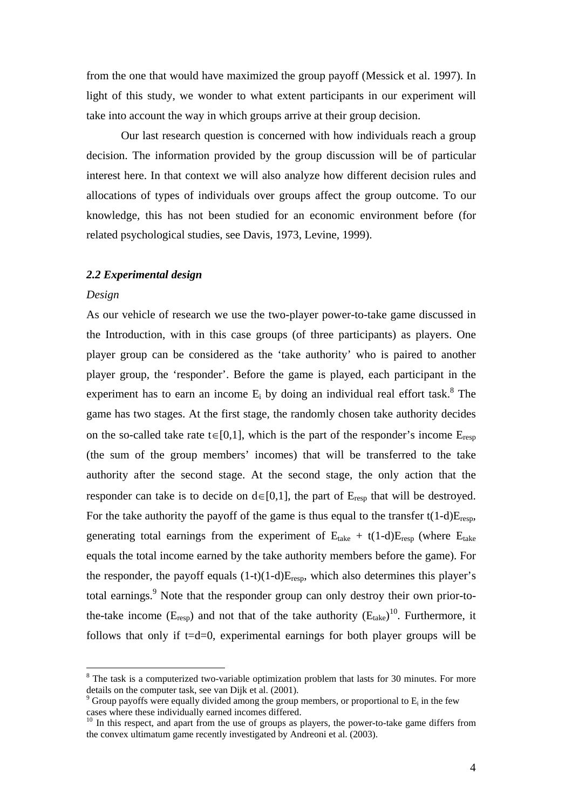from the one that would have maximized the group payoff (Messick et al. 1997). In light of this study, we wonder to what extent participants in our experiment will take into account the way in which groups arrive at their group decision.

Our last research question is concerned with how individuals reach a group decision. The information provided by the group discussion will be of particular interest here. In that context we will also analyze how different decision rules and allocations of types of individuals over groups affect the group outcome. To our knowledge, this has not been studied for an economic environment before (for related psychological studies, see Davis, 1973, Levine, 1999).

### *2.2 Experimental design*

#### *Design*

 $\overline{a}$ 

As our vehicle of research we use the two-player power-to-take game discussed in the Introduction, with in this case groups (of three participants) as players. One player group can be considered as the 'take authority' who is paired to another player group, the 'responder'. Before the game is played, each participant in the experiment has to earn an income  $E_i$  by doing an individual real effort task.<sup>8</sup> The game has two stages. At the first stage, the randomly chosen take authority decides on the so-called take rate t∈[0,1], which is the part of the responder's income  $E_{resp}$ (the sum of the group members' incomes) that will be transferred to the take authority after the second stage. At the second stage, the only action that the responder can take is to decide on  $d \in [0,1]$ , the part of  $E_{resp}$  that will be destroyed. For the take authority the payoff of the game is thus equal to the transfer  $t(1-d)E_{resp}$ , generating total earnings from the experiment of  $E_{take} + t(1-d)E_{resp}$  (where  $E_{take}$ equals the total income earned by the take authority members before the game). For the responder, the payoff equals  $(1-t)(1-d)E_{resp}$ , which also determines this player's total earnings.<sup>9</sup> Note that the responder group can only destroy their own prior-tothe-take income ( $E_{resp}$ ) and not that of the take authority ( $E_{take}$ )<sup>10</sup>. Furthermore, it follows that only if  $t=d=0$ , experimental earnings for both player groups will be

<sup>&</sup>lt;sup>8</sup> The task is a computerized two-variable optimization problem that lasts for 30 minutes. For more details on the computer task, see van Dijk et al. (2001).

 $9^9$  Group payoffs were equally divided among the group members, or proportional to  $E_i$  in the few cases where these individually earned incomes differed.

 $10$  In this respect, and apart from the use of groups as players, the power-to-take game differs from the convex ultimatum game recently investigated by Andreoni et al. (2003).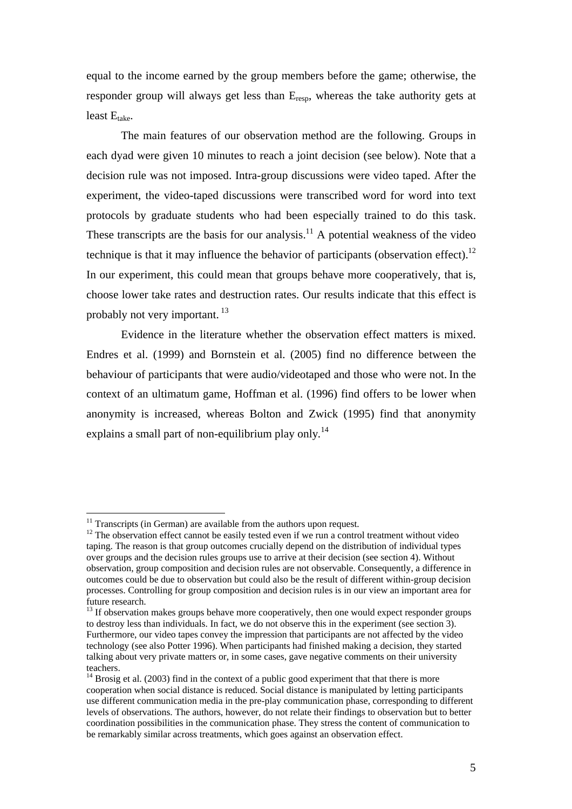equal to the income earned by the group members before the game; otherwise, the responder group will always get less than Eresp, whereas the take authority gets at least Etake.

The main features of our observation method are the following. Groups in each dyad were given 10 minutes to reach a joint decision (see below). Note that a decision rule was not imposed. Intra-group discussions were video taped. After the experiment, the video-taped discussions were transcribed word for word into text protocols by graduate students who had been especially trained to do this task. These transcripts are the basis for our analysis.<sup>11</sup> A potential weakness of the video technique is that it may influence the behavior of participants (observation effect).<sup>12</sup> In our experiment, this could mean that groups behave more cooperatively, that is, choose lower take rates and destruction rates. Our results indicate that this effect is probably not very important.  $^{13}$ 

Evidence in the literature whether the observation effect matters is mixed. Endres et al. (1999) and Bornstein et al. (2005) find no difference between the behaviour of participants that were audio/videotaped and those who were not. In the context of an ultimatum game, Hoffman et al. (1996) find offers to be lower when anonymity is increased, whereas Bolton and Zwick (1995) find that anonymity explains a small part of non-equilibrium play only*.* 14

 $11$  Transcripts (in German) are available from the authors upon request.

 $12$  The observation effect cannot be easily tested even if we run a control treatment without video taping. The reason is that group outcomes crucially depend on the distribution of individual types over groups and the decision rules groups use to arrive at their decision (see section 4). Without observation, group composition and decision rules are not observable. Consequently, a difference in outcomes could be due to observation but could also be the result of different within-group decision processes. Controlling for group composition and decision rules is in our view an important area for future research.

 $13$  If observation makes groups behave more cooperatively, then one would expect responder groups to destroy less than individuals. In fact, we do not observe this in the experiment (see section 3). Furthermore, our video tapes convey the impression that participants are not affected by the video technology (see also Potter 1996). When participants had finished making a decision, they started talking about very private matters or, in some cases, gave negative comments on their university teachers.

 $14$  Brosig et al. (2003) find in the context of a public good experiment that that there is more cooperation when social distance is reduced. Social distance is manipulated by letting participants use different communication media in the pre-play communication phase, corresponding to different levels of observations. The authors, however, do not relate their findings to observation but to better coordination possibilities in the communication phase. They stress the content of communication to be remarkably similar across treatments, which goes against an observation effect.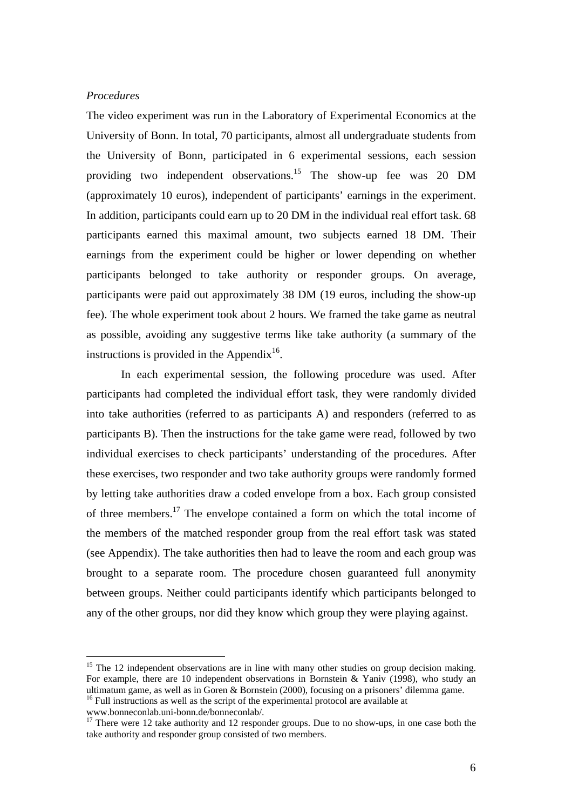#### *Procedures*

 $\overline{a}$ 

The video experiment was run in the Laboratory of Experimental Economics at the University of Bonn. In total, 70 participants, almost all undergraduate students from the University of Bonn, participated in 6 experimental sessions, each session providing two independent observations.<sup>15</sup> The show-up fee was 20 DM (approximately 10 euros), independent of participants' earnings in the experiment. In addition, participants could earn up to 20 DM in the individual real effort task. 68 participants earned this maximal amount, two subjects earned 18 DM. Their earnings from the experiment could be higher or lower depending on whether participants belonged to take authority or responder groups. On average, participants were paid out approximately 38 DM (19 euros, including the show-up fee). The whole experiment took about 2 hours. We framed the take game as neutral as possible, avoiding any suggestive terms like take authority (a summary of the instructions is provided in the Appendix<sup>16</sup>.

In each experimental session, the following procedure was used. After participants had completed the individual effort task, they were randomly divided into take authorities (referred to as participants A) and responders (referred to as participants B). Then the instructions for the take game were read, followed by two individual exercises to check participants' understanding of the procedures. After these exercises, two responder and two take authority groups were randomly formed by letting take authorities draw a coded envelope from a box. Each group consisted of three members.17 The envelope contained a form on which the total income of the members of the matched responder group from the real effort task was stated (see Appendix). The take authorities then had to leave the room and each group was brought to a separate room. The procedure chosen guaranteed full anonymity between groups. Neither could participants identify which participants belonged to any of the other groups, nor did they know which group they were playing against.

 $15$  The 12 independent observations are in line with many other studies on group decision making. For example, there are 10 independent observations in Bornstein & Yaniv (1998), who study an ultimatum game, as well as in Goren & Bornstein (2000), focusing on a prisoners' dilemma game. <sup>16</sup> Full instructions as well as the script of the experimental protocol are available at

www.bonneconlab.uni-bonn.de/bonneconlab/.

<sup>&</sup>lt;sup>17</sup> There were 12 take authority and 12 responder groups. Due to no show-ups, in one case both the take authority and responder group consisted of two members.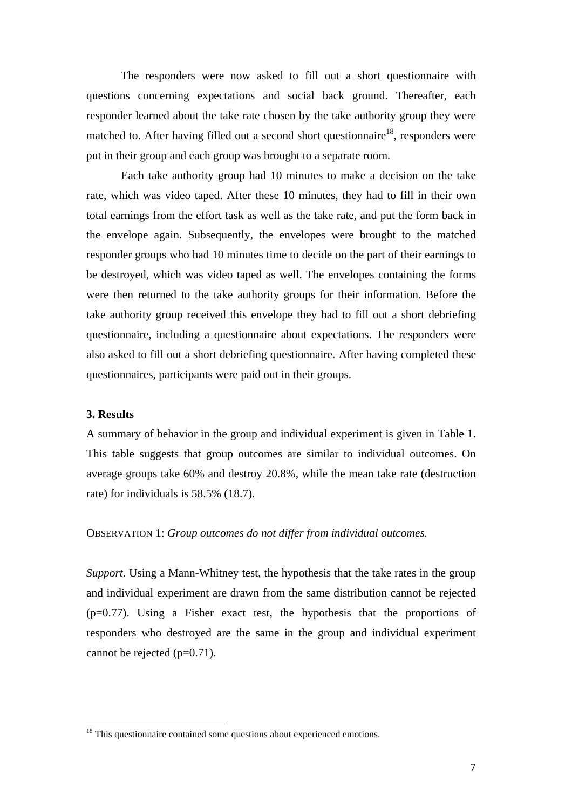The responders were now asked to fill out a short questionnaire with questions concerning expectations and social back ground. Thereafter, each responder learned about the take rate chosen by the take authority group they were matched to. After having filled out a second short questionnaire<sup>18</sup>, responders were put in their group and each group was brought to a separate room.

Each take authority group had 10 minutes to make a decision on the take rate, which was video taped. After these 10 minutes, they had to fill in their own total earnings from the effort task as well as the take rate, and put the form back in the envelope again. Subsequently, the envelopes were brought to the matched responder groups who had 10 minutes time to decide on the part of their earnings to be destroyed, which was video taped as well. The envelopes containing the forms were then returned to the take authority groups for their information. Before the take authority group received this envelope they had to fill out a short debriefing questionnaire, including a questionnaire about expectations. The responders were also asked to fill out a short debriefing questionnaire. After having completed these questionnaires, participants were paid out in their groups.

#### **3. Results**

 $\overline{a}$ 

A summary of behavior in the group and individual experiment is given in Table 1. This table suggests that group outcomes are similar to individual outcomes. On average groups take 60% and destroy 20.8%, while the mean take rate (destruction rate) for individuals is 58.5% (18.7).

#### OBSERVATION 1: *Group outcomes do not differ from individual outcomes.*

*Support*. Using a Mann-Whitney test, the hypothesis that the take rates in the group and individual experiment are drawn from the same distribution cannot be rejected (p=0.77). Using a Fisher exact test, the hypothesis that the proportions of responders who destroyed are the same in the group and individual experiment cannot be rejected (p=0.71).

<sup>&</sup>lt;sup>18</sup> This questionnaire contained some questions about experienced emotions.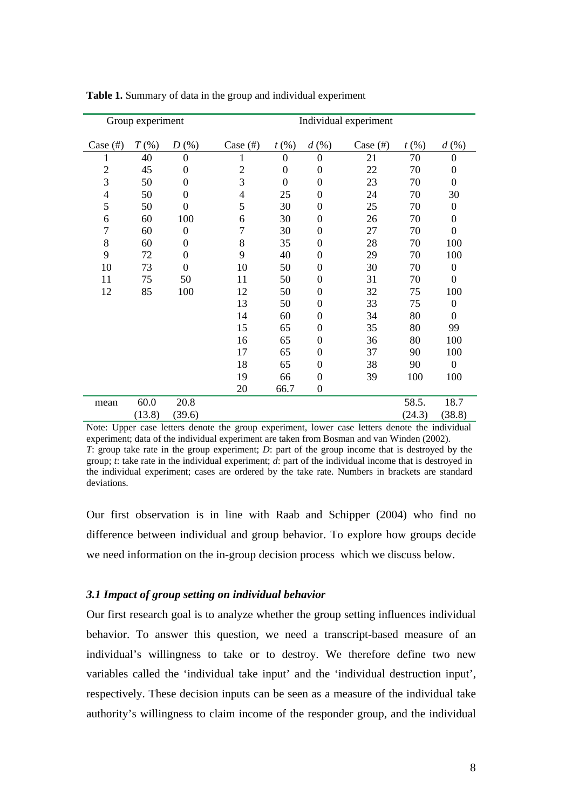| Group experiment |         |                    | Individual experiment    |                  |                  |             |        |                  |
|------------------|---------|--------------------|--------------------------|------------------|------------------|-------------|--------|------------------|
| Case $(\#)$      | $T$ (%) | $D\left(\%\right)$ | Case $(\#)$              | t(%)             | d(%)             | Case $(\#)$ | t(%)   | d(%)             |
| 1                | 40      | $\overline{0}$     | 1                        | $\boldsymbol{0}$ | 0                | 21          | 70     | $\theta$         |
| $\overline{2}$   | 45      | 0                  | $\overline{c}$           | $\boldsymbol{0}$ | $\boldsymbol{0}$ | 22          | 70     | $\boldsymbol{0}$ |
| 3                | 50      | $\overline{0}$     | 3                        | $\boldsymbol{0}$ | $\overline{0}$   | 23          | 70     | $\overline{0}$   |
| $\overline{4}$   | 50      | $\overline{0}$     | $\overline{\mathcal{L}}$ | 25               | $\boldsymbol{0}$ | 24          | 70     | 30               |
| 5                | 50      | $\overline{0}$     | 5                        | 30               | 0                | 25          | 70     | $\boldsymbol{0}$ |
| 6                | 60      | 100                | 6                        | 30               | $\boldsymbol{0}$ | 26          | 70     | $\boldsymbol{0}$ |
| $\overline{7}$   | 60      | $\boldsymbol{0}$   | $\overline{7}$           | 30               | 0                | 27          | 70     | $\overline{0}$   |
| 8                | 60      | 0                  | 8                        | 35               | $\boldsymbol{0}$ | 28          | 70     | 100              |
| 9                | 72      | 0                  | 9                        | 40               | 0                | 29          | 70     | 100              |
| 10               | 73      | $\overline{0}$     | 10                       | 50               | $\boldsymbol{0}$ | 30          | 70     | $\boldsymbol{0}$ |
| 11               | 75      | 50                 | 11                       | 50               | $\boldsymbol{0}$ | 31          | 70     | $\boldsymbol{0}$ |
| 12               | 85      | 100                | 12                       | 50               | $\boldsymbol{0}$ | 32          | 75     | 100              |
|                  |         |                    | 13                       | 50               | 0                | 33          | 75     | $\boldsymbol{0}$ |
|                  |         |                    | 14                       | 60               | $\boldsymbol{0}$ | 34          | 80     | $\theta$         |
|                  |         |                    | 15                       | 65               | 0                | 35          | 80     | 99               |
|                  |         |                    | 16                       | 65               | 0                | 36          | 80     | 100              |
|                  |         |                    | 17                       | 65               | 0                | 37          | 90     | 100              |
|                  |         |                    | 18                       | 65               | $\boldsymbol{0}$ | 38          | 90     | $\boldsymbol{0}$ |
|                  |         |                    | 19                       | 66               | $\boldsymbol{0}$ | 39          | 100    | 100              |
|                  |         |                    | 20                       | 66.7             | $\boldsymbol{0}$ |             |        |                  |
| mean             | 60.0    | 20.8               |                          |                  |                  |             | 58.5.  | 18.7             |
|                  | (13.8)  | (39.6)             |                          |                  |                  |             | (24.3) | (38.8)           |

**Table 1.** Summary of data in the group and individual experiment

Note: Upper case letters denote the group experiment, lower case letters denote the individual experiment; data of the individual experiment are taken from Bosman and van Winden (2002). *T*: group take rate in the group experiment; *D*: part of the group income that is destroyed by the group; *t*: take rate in the individual experiment; *d*: part of the individual income that is destroyed in the individual experiment; cases are ordered by the take rate. Numbers in brackets are standard deviations.

Our first observation is in line with Raab and Schipper (2004) who find no difference between individual and group behavior. To explore how groups decide we need information on the in-group decision process which we discuss below.

## *3.1 Impact of group setting on individual behavior*

Our first research goal is to analyze whether the group setting influences individual behavior. To answer this question, we need a transcript-based measure of an individual's willingness to take or to destroy. We therefore define two new variables called the 'individual take input' and the 'individual destruction input', respectively. These decision inputs can be seen as a measure of the individual take authority's willingness to claim income of the responder group, and the individual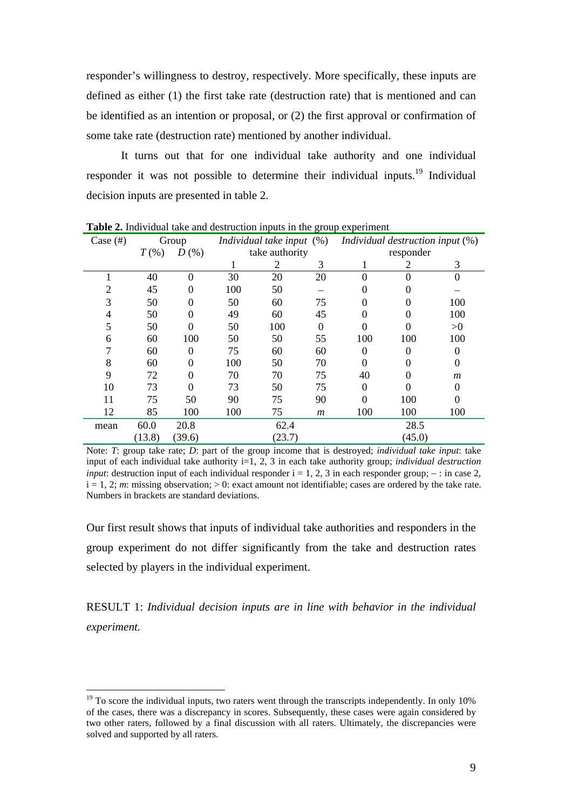responder's willingness to destroy, respectively. More specifically, these inputs are defined as either (1) the first take rate (destruction rate) that is mentioned and can be identified as an intention or proposal, or (2) the first approval or confirmation of some take rate (destruction rate) mentioned by another individual.

It turns out that for one individual take authority and one individual responder it was not possible to determine their individual inputs.<sup>19</sup> Individual decision inputs are presented in table 2.

| Case $(\#)$ |         | Group    | Individual take input $(\%)$ |     |                  | Individual destruction input $(\%)$ |          |                  |
|-------------|---------|----------|------------------------------|-----|------------------|-------------------------------------|----------|------------------|
|             | $T$ (%) | D(%)     | take authority               |     |                  | responder                           |          |                  |
|             |         |          |                              | 2   | 3                |                                     |          | 3                |
|             | 40      | $\theta$ | 30                           | 20  | 20               | 0                                   | $\Omega$ | $\boldsymbol{0}$ |
| 2           | 45      | 0        | 100                          | 50  |                  | 0                                   | 0        |                  |
| 3           | 50      | 0        | 50                           | 60  | 75               | 0                                   | $\theta$ | 100              |
| 4           | 50      | 0        | 49                           | 60  | 45               | $\theta$                            | 0        | 100              |
| 5           | 50      | $\Omega$ | 50                           | 100 | $\boldsymbol{0}$ | 0                                   | $\Omega$ | >0               |
| 6           | 60      | 100      | 50                           | 50  | 55               | 100                                 | 100      | 100              |
| 7           | 60      | 0        | 75                           | 60  | 60               | $\theta$                            | 0        | 0                |
| 8           | 60      | 0        | 100                          | 50  | 70               | 0                                   | 0        | $\theta$         |
| 9           | 72      | 0        | 70                           | 70  | 75               | 40                                  | 0        | $\boldsymbol{m}$ |
| 10          | 73      | 0        | 73                           | 50  | 75               | $\theta$                            | $\theta$ | 0                |
| 11          | 75      | 50       | 90                           | 75  | 90               | $\Omega$                            | 100      | 0                |
| 12          | 85      | 100      | 100                          | 75  | $\boldsymbol{m}$ | 100                                 | 100      | 100              |
| mean        | 60.0    | 20.8     | 62.4                         |     |                  | 28.5                                |          |                  |
|             | (13.8)  | (39.6)   | (23.7)                       |     |                  | (45.0)                              |          |                  |

**Table 2.** Individual take and destruction inputs in the group experiment

Note: *T*: group take rate; *D*: part of the group income that is destroyed; *individual take input*: take input of each individual take authority i=1, 2, 3 in each take authority group; *individual destruction input*: destruction input of each individual responder  $i = 1, 2, 3$  in each responder group;  $-$ : in case 2,  $i = 1, 2; m$ : missing observation;  $> 0$ : exact amount not identifiable; cases are ordered by the take rate. Numbers in brackets are standard deviations.

Our first result shows that inputs of individual take authorities and responders in the group experiment do not differ significantly from the take and destruction rates selected by players in the individual experiment.

RESULT 1: *Individual decision inputs are in line with behavior in the individual experiment.* 

 $19$  To score the individual inputs, two raters went through the transcripts independently. In only 10% of the cases, there was a discrepancy in scores. Subsequently, these cases were again considered by two other raters, followed by a final discussion with all raters. Ultimately, the discrepancies were solved and supported by all raters.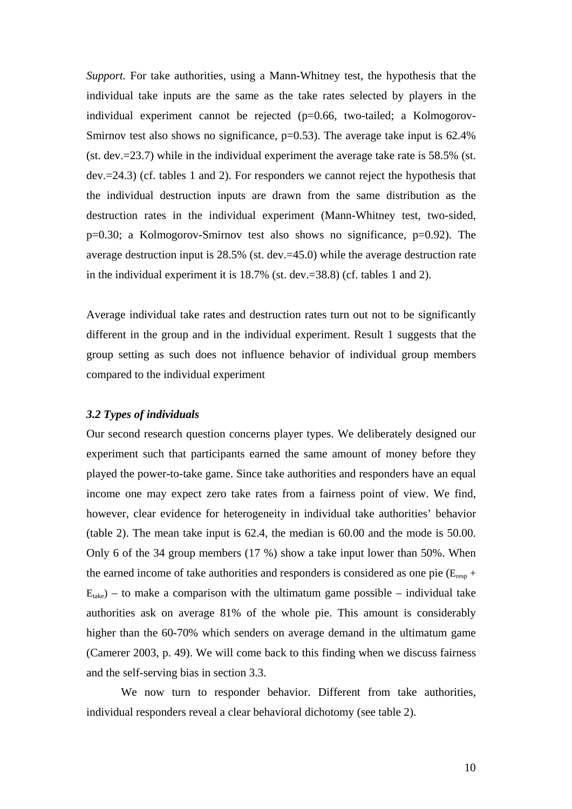*Support.* For take authorities, using a Mann-Whitney test, the hypothesis that the individual take inputs are the same as the take rates selected by players in the individual experiment cannot be rejected (p=0.66, two-tailed; a Kolmogorov-Smirnov test also shows no significance,  $p=0.53$ ). The average take input is 62.4% (st. dev.=23.7) while in the individual experiment the average take rate is 58.5% (st. dev.=24.3) (cf. tables 1 and 2). For responders we cannot reject the hypothesis that the individual destruction inputs are drawn from the same distribution as the destruction rates in the individual experiment (Mann-Whitney test, two-sided, p=0.30; a Kolmogorov-Smirnov test also shows no significance, p=0.92). The average destruction input is 28.5% (st. dev.=45.0) while the average destruction rate in the individual experiment it is 18.7% (st. dev.=38.8) (cf. tables 1 and 2).

Average individual take rates and destruction rates turn out not to be significantly different in the group and in the individual experiment. Result 1 suggests that the group setting as such does not influence behavior of individual group members compared to the individual experiment

#### *3.2 Types of individuals*

Our second research question concerns player types. We deliberately designed our experiment such that participants earned the same amount of money before they played the power-to-take game. Since take authorities and responders have an equal income one may expect zero take rates from a fairness point of view. We find, however, clear evidence for heterogeneity in individual take authorities' behavior (table 2). The mean take input is 62.4, the median is 60.00 and the mode is 50.00. Only 6 of the 34 group members (17 %) show a take input lower than 50%. When the earned income of take authorities and responders is considered as one pie  $(E_{resp} +$  $E<sub>take</sub>$ ) – to make a comparison with the ultimatum game possible – individual take authorities ask on average 81% of the whole pie. This amount is considerably higher than the 60-70% which senders on average demand in the ultimatum game (Camerer 2003, p. 49). We will come back to this finding when we discuss fairness and the self-serving bias in section 3.3.

We now turn to responder behavior. Different from take authorities, individual responders reveal a clear behavioral dichotomy (see table 2).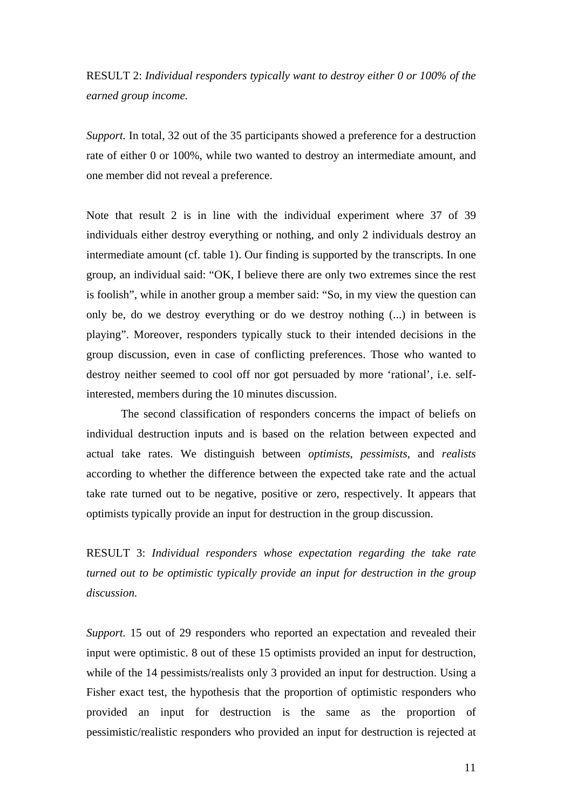RESULT 2: *Individual responders typically want to destroy either 0 or 100% of the earned group income.* 

*Support.* In total, 32 out of the 35 participants showed a preference for a destruction rate of either 0 or 100%, while two wanted to destroy an intermediate amount, and one member did not reveal a preference.

Note that result 2 is in line with the individual experiment where 37 of 39 individuals either destroy everything or nothing, and only 2 individuals destroy an intermediate amount (cf. table 1). Our finding is supported by the transcripts. In one group, an individual said: "OK, I believe there are only two extremes since the rest is foolish", while in another group a member said: "So, in my view the question can only be, do we destroy everything or do we destroy nothing (...) in between is playing". Moreover, responders typically stuck to their intended decisions in the group discussion, even in case of conflicting preferences. Those who wanted to destroy neither seemed to cool off nor got persuaded by more 'rational', i.e. selfinterested, members during the 10 minutes discussion.

The second classification of responders concerns the impact of beliefs on individual destruction inputs and is based on the relation between expected and actual take rates. We distinguish between *optimists*, *pessimists*, and *realists* according to whether the difference between the expected take rate and the actual take rate turned out to be negative, positive or zero, respectively. It appears that optimists typically provide an input for destruction in the group discussion.

RESULT 3: *Individual responders whose expectation regarding the take rate turned out to be optimistic typically provide an input for destruction in the group discussion.* 

*Support.* 15 out of 29 responders who reported an expectation and revealed their input were optimistic. 8 out of these 15 optimists provided an input for destruction, while of the 14 pessimists/realists only 3 provided an input for destruction. Using a Fisher exact test, the hypothesis that the proportion of optimistic responders who provided an input for destruction is the same as the proportion of pessimistic/realistic responders who provided an input for destruction is rejected at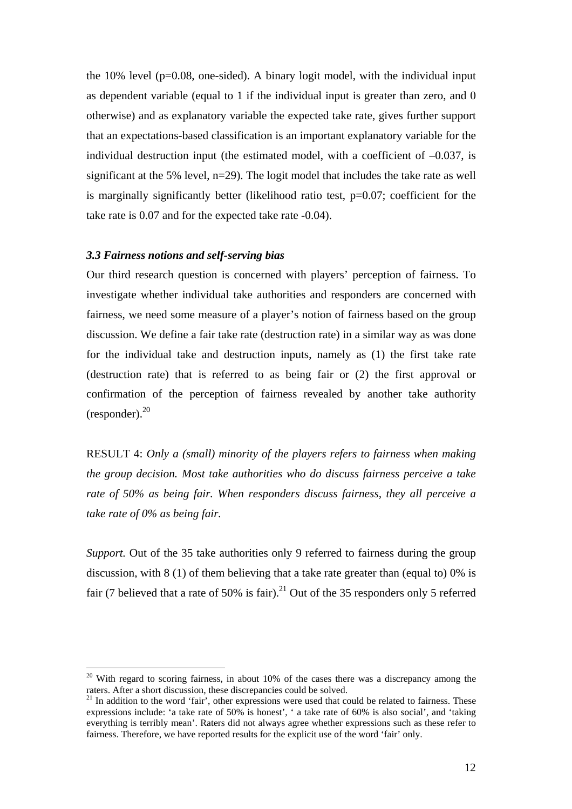the  $10\%$  level ( $p=0.08$ , one-sided). A binary logit model, with the individual input as dependent variable (equal to 1 if the individual input is greater than zero, and 0 otherwise) and as explanatory variable the expected take rate, gives further support that an expectations-based classification is an important explanatory variable for the individual destruction input (the estimated model, with a coefficient of  $-0.037$ , is significant at the 5% level,  $n=29$ ). The logit model that includes the take rate as well is marginally significantly better (likelihood ratio test, p=0.07; coefficient for the take rate is 0.07 and for the expected take rate -0.04).

#### *3.3 Fairness notions and self-serving bias*

 $\overline{a}$ 

Our third research question is concerned with players' perception of fairness. To investigate whether individual take authorities and responders are concerned with fairness, we need some measure of a player's notion of fairness based on the group discussion. We define a fair take rate (destruction rate) in a similar way as was done for the individual take and destruction inputs, namely as (1) the first take rate (destruction rate) that is referred to as being fair or (2) the first approval or confirmation of the perception of fairness revealed by another take authority  $($ responder $).^{20}$ 

RESULT 4: *Only a (small) minority of the players refers to fairness when making the group decision. Most take authorities who do discuss fairness perceive a take rate of 50% as being fair. When responders discuss fairness, they all perceive a take rate of 0% as being fair.*

*Support.* Out of the 35 take authorities only 9 referred to fairness during the group discussion, with 8 (1) of them believing that a take rate greater than (equal to) 0% is fair (7 believed that a rate of 50% is fair).<sup>21</sup> Out of the 35 responders only 5 referred

 $20$  With regard to scoring fairness, in about 10% of the cases there was a discrepancy among the raters. After a short discussion, these discrepancies could be solved.

 $21$  In addition to the word 'fair', other expressions were used that could be related to fairness. These expressions include: 'a take rate of 50% is honest', ' a take rate of 60% is also social', and 'taking everything is terribly mean'. Raters did not always agree whether expressions such as these refer to fairness. Therefore, we have reported results for the explicit use of the word 'fair' only.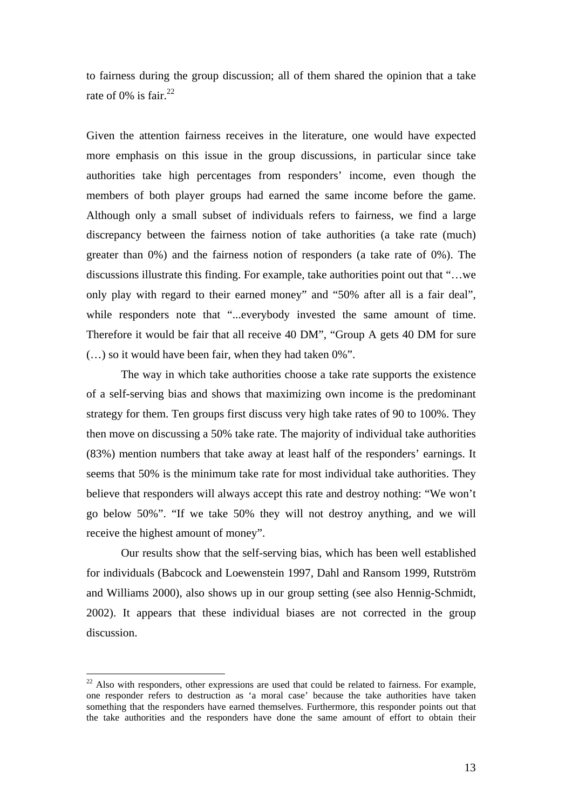to fairness during the group discussion; all of them shared the opinion that a take rate of  $0\%$  is fair.<sup>22</sup>

Given the attention fairness receives in the literature, one would have expected more emphasis on this issue in the group discussions, in particular since take authorities take high percentages from responders' income, even though the members of both player groups had earned the same income before the game. Although only a small subset of individuals refers to fairness, we find a large discrepancy between the fairness notion of take authorities (a take rate (much) greater than 0%) and the fairness notion of responders (a take rate of 0%). The discussions illustrate this finding. For example, take authorities point out that "…we only play with regard to their earned money" and "50% after all is a fair deal", while responders note that "...everybody invested the same amount of time. Therefore it would be fair that all receive 40 DM", "Group A gets 40 DM for sure (…) so it would have been fair, when they had taken 0%".

The way in which take authorities choose a take rate supports the existence of a self-serving bias and shows that maximizing own income is the predominant strategy for them. Ten groups first discuss very high take rates of 90 to 100%. They then move on discussing a 50% take rate. The majority of individual take authorities (83%) mention numbers that take away at least half of the responders' earnings. It seems that 50% is the minimum take rate for most individual take authorities. They believe that responders will always accept this rate and destroy nothing: "We won't go below 50%". "If we take 50% they will not destroy anything, and we will receive the highest amount of money".

Our results show that the self-serving bias, which has been well established for individuals (Babcock and Loewenstein 1997, Dahl and Ransom 1999, Rutström and Williams 2000), also shows up in our group setting (see also Hennig-Schmidt, 2002). It appears that these individual biases are not corrected in the group discussion.

 $22$  Also with responders, other expressions are used that could be related to fairness. For example, one responder refers to destruction as 'a moral case' because the take authorities have taken something that the responders have earned themselves. Furthermore, this responder points out that the take authorities and the responders have done the same amount of effort to obtain their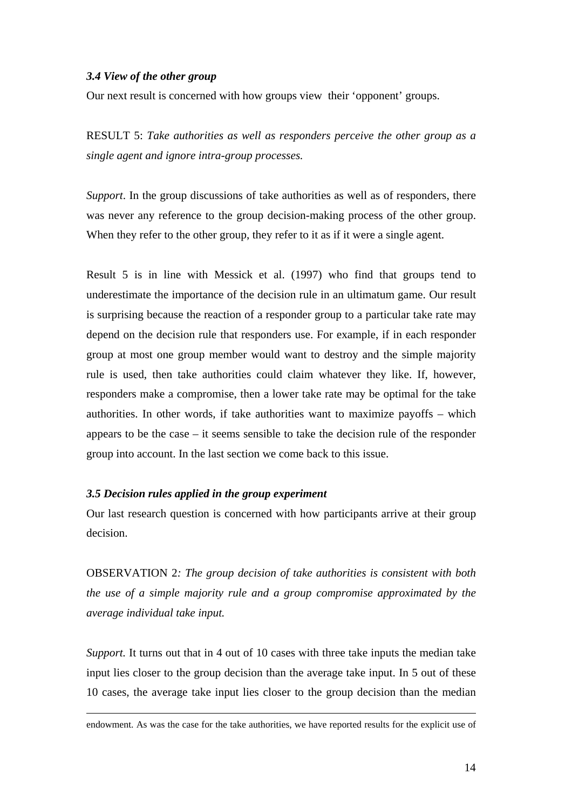#### *3.4 View of the other group*

Our next result is concerned with how groups view their 'opponent' groups.

RESULT 5: *Take authorities as well as responders perceive the other group as a single agent and ignore intra-group processes.*

*Support*. In the group discussions of take authorities as well as of responders, there was never any reference to the group decision-making process of the other group. When they refer to the other group, they refer to it as if it were a single agent.

Result 5 is in line with Messick et al. (1997) who find that groups tend to underestimate the importance of the decision rule in an ultimatum game. Our result is surprising because the reaction of a responder group to a particular take rate may depend on the decision rule that responders use. For example, if in each responder group at most one group member would want to destroy and the simple majority rule is used, then take authorities could claim whatever they like. If, however, responders make a compromise, then a lower take rate may be optimal for the take authorities. In other words, if take authorities want to maximize payoffs – which appears to be the case – it seems sensible to take the decision rule of the responder group into account. In the last section we come back to this issue.

#### *3.5 Decision rules applied in the group experiment*

Our last research question is concerned with how participants arrive at their group decision.

OBSERVATION 2*: The group decision of take authorities is consistent with both the use of a simple majority rule and a group compromise approximated by the average individual take input.* 

*Support.* It turns out that in 4 out of 10 cases with three take inputs the median take input lies closer to the group decision than the average take input. In 5 out of these 10 cases, the average take input lies closer to the group decision than the median

endowment. As was the case for the take authorities, we have reported results for the explicit use of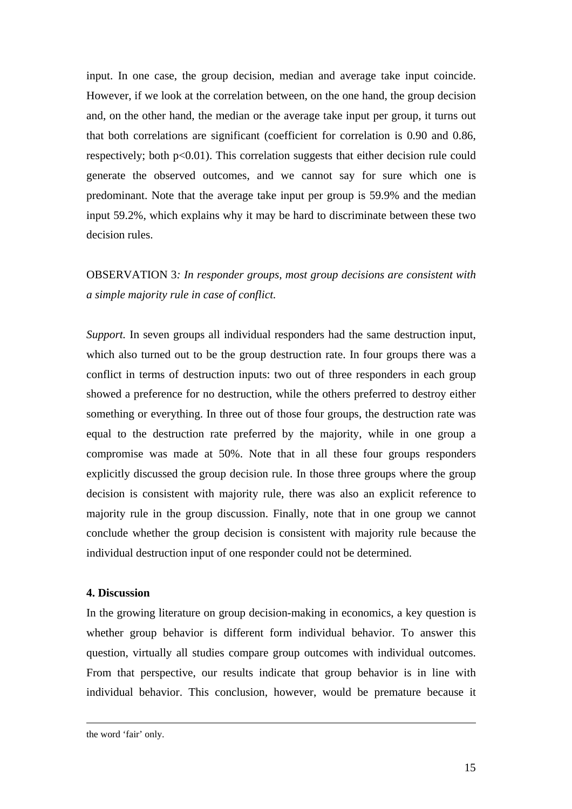input. In one case, the group decision, median and average take input coincide. However, if we look at the correlation between, on the one hand, the group decision and, on the other hand, the median or the average take input per group, it turns out that both correlations are significant (coefficient for correlation is 0.90 and 0.86, respectively; both p<0.01). This correlation suggests that either decision rule could generate the observed outcomes, and we cannot say for sure which one is predominant. Note that the average take input per group is 59.9% and the median input 59.2%, which explains why it may be hard to discriminate between these two decision rules.

OBSERVATION 3*: In responder groups, most group decisions are consistent with a simple majority rule in case of conflict.* 

*Support.* In seven groups all individual responders had the same destruction input, which also turned out to be the group destruction rate. In four groups there was a conflict in terms of destruction inputs: two out of three responders in each group showed a preference for no destruction, while the others preferred to destroy either something or everything. In three out of those four groups, the destruction rate was equal to the destruction rate preferred by the majority, while in one group a compromise was made at 50%. Note that in all these four groups responders explicitly discussed the group decision rule. In those three groups where the group decision is consistent with majority rule, there was also an explicit reference to majority rule in the group discussion. Finally, note that in one group we cannot conclude whether the group decision is consistent with majority rule because the individual destruction input of one responder could not be determined.

#### **4. Discussion**

In the growing literature on group decision-making in economics, a key question is whether group behavior is different form individual behavior. To answer this question, virtually all studies compare group outcomes with individual outcomes. From that perspective, our results indicate that group behavior is in line with individual behavior. This conclusion, however, would be premature because it

the word 'fair' only.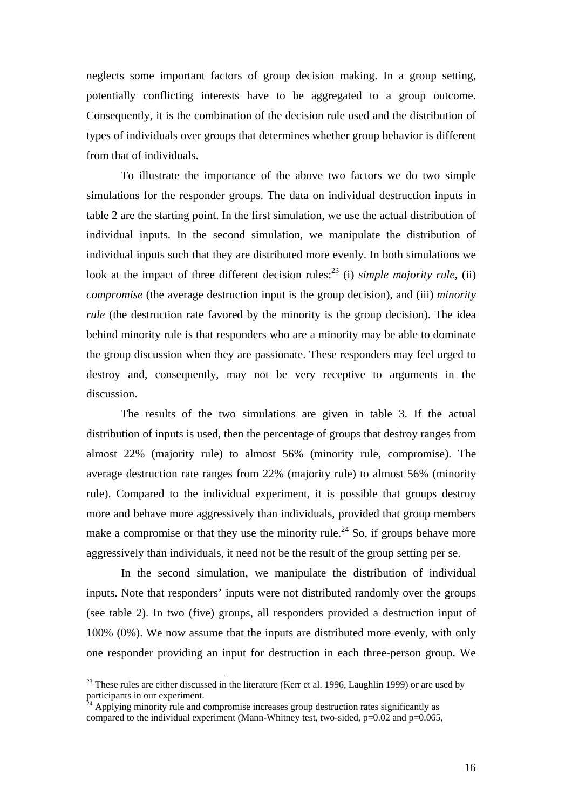neglects some important factors of group decision making. In a group setting, potentially conflicting interests have to be aggregated to a group outcome. Consequently, it is the combination of the decision rule used and the distribution of types of individuals over groups that determines whether group behavior is different from that of individuals.

To illustrate the importance of the above two factors we do two simple simulations for the responder groups. The data on individual destruction inputs in table 2 are the starting point. In the first simulation, we use the actual distribution of individual inputs. In the second simulation, we manipulate the distribution of individual inputs such that they are distributed more evenly. In both simulations we look at the impact of three different decision rules:<sup>23</sup> (i) *simple majority rule*, (ii) *compromise* (the average destruction input is the group decision), and (iii) *minority rule* (the destruction rate favored by the minority is the group decision). The idea behind minority rule is that responders who are a minority may be able to dominate the group discussion when they are passionate. These responders may feel urged to destroy and, consequently, may not be very receptive to arguments in the discussion.

The results of the two simulations are given in table 3. If the actual distribution of inputs is used, then the percentage of groups that destroy ranges from almost 22% (majority rule) to almost 56% (minority rule, compromise). The average destruction rate ranges from 22% (majority rule) to almost 56% (minority rule). Compared to the individual experiment, it is possible that groups destroy more and behave more aggressively than individuals, provided that group members make a compromise or that they use the minority rule.<sup>24</sup> So, if groups behave more aggressively than individuals, it need not be the result of the group setting per se.

In the second simulation, we manipulate the distribution of individual inputs. Note that responders' inputs were not distributed randomly over the groups (see table 2). In two (five) groups, all responders provided a destruction input of 100% (0%). We now assume that the inputs are distributed more evenly, with only one responder providing an input for destruction in each three-person group. We

 $^{23}$  These rules are either discussed in the literature (Kerr et al. 1996, Laughlin 1999) or are used by participants in our experiment.

 $^{24}$  Applying minority rule and compromise increases group destruction rates significantly as compared to the individual experiment (Mann-Whitney test, two-sided,  $p=0.02$  and  $p=0.065$ ,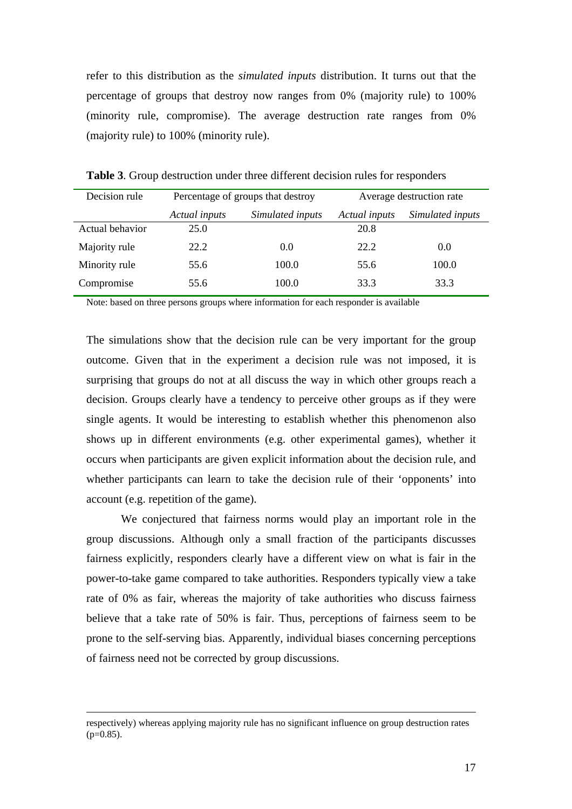refer to this distribution as the *simulated inputs* distribution. It turns out that the percentage of groups that destroy now ranges from 0% (majority rule) to 100% (minority rule, compromise). The average destruction rate ranges from 0% (majority rule) to 100% (minority rule).

| Decision rule   |               | Percentage of groups that destroy | Average destruction rate |                  |  |
|-----------------|---------------|-----------------------------------|--------------------------|------------------|--|
|                 | Actual inputs | Simulated inputs                  | Actual inputs            | Simulated inputs |  |
| Actual behavior | 25.0          |                                   | 20.8                     |                  |  |
| Majority rule   | 22.2          | 0.0                               | 22.2                     | 0.0              |  |
| Minority rule   | 55.6          | 100.0                             | 55.6                     | 100.0            |  |
| Compromise      | 55.6          | 100.0                             | 33.3                     | 33.3             |  |

**Table 3**. Group destruction under three different decision rules for responders

Note: based on three persons groups where information for each responder is available

The simulations show that the decision rule can be very important for the group outcome. Given that in the experiment a decision rule was not imposed, it is surprising that groups do not at all discuss the way in which other groups reach a decision. Groups clearly have a tendency to perceive other groups as if they were single agents. It would be interesting to establish whether this phenomenon also shows up in different environments (e.g. other experimental games), whether it occurs when participants are given explicit information about the decision rule, and whether participants can learn to take the decision rule of their 'opponents' into account (e.g. repetition of the game).

We conjectured that fairness norms would play an important role in the group discussions. Although only a small fraction of the participants discusses fairness explicitly, responders clearly have a different view on what is fair in the power-to-take game compared to take authorities. Responders typically view a take rate of 0% as fair, whereas the majority of take authorities who discuss fairness believe that a take rate of 50% is fair. Thus, perceptions of fairness seem to be prone to the self-serving bias. Apparently, individual biases concerning perceptions of fairness need not be corrected by group discussions.

respectively) whereas applying majority rule has no significant influence on group destruction rates  $(p=0.85)$ .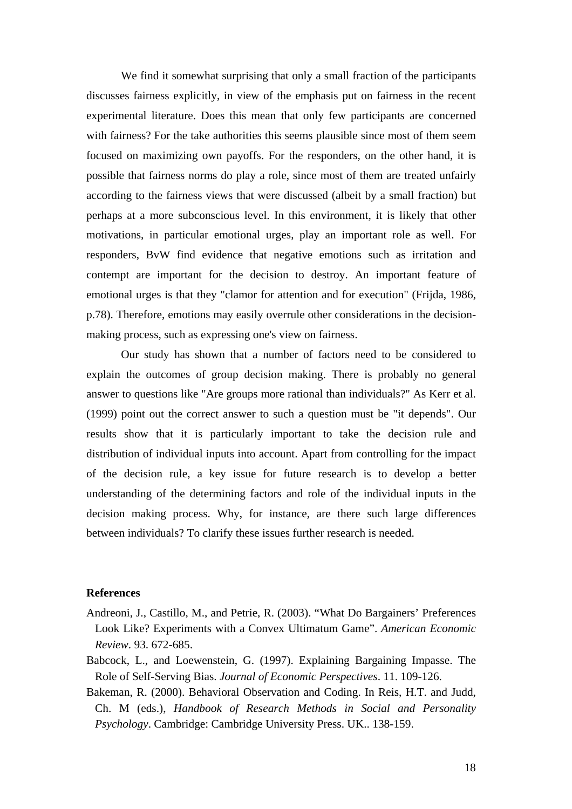We find it somewhat surprising that only a small fraction of the participants discusses fairness explicitly, in view of the emphasis put on fairness in the recent experimental literature. Does this mean that only few participants are concerned with fairness? For the take authorities this seems plausible since most of them seem focused on maximizing own payoffs. For the responders, on the other hand, it is possible that fairness norms do play a role, since most of them are treated unfairly according to the fairness views that were discussed (albeit by a small fraction) but perhaps at a more subconscious level. In this environment, it is likely that other motivations, in particular emotional urges, play an important role as well. For responders, BvW find evidence that negative emotions such as irritation and contempt are important for the decision to destroy. An important feature of emotional urges is that they "clamor for attention and for execution" (Frijda, 1986, p.78). Therefore, emotions may easily overrule other considerations in the decisionmaking process, such as expressing one's view on fairness.

Our study has shown that a number of factors need to be considered to explain the outcomes of group decision making. There is probably no general answer to questions like "Are groups more rational than individuals?" As Kerr et al. (1999) point out the correct answer to such a question must be "it depends". Our results show that it is particularly important to take the decision rule and distribution of individual inputs into account. Apart from controlling for the impact of the decision rule, a key issue for future research is to develop a better understanding of the determining factors and role of the individual inputs in the decision making process. Why, for instance, are there such large differences between individuals? To clarify these issues further research is needed.

#### **References**

- Andreoni, J., Castillo, M., and Petrie, R. (2003). "What Do Bargainers' Preferences Look Like? Experiments with a Convex Ultimatum Game". *American Economic Review*. 93. 672-685.
- Babcock, L., and Loewenstein, G. (1997). Explaining Bargaining Impasse. The Role of Self-Serving Bias. *Journal of Economic Perspectives*. 11. 109-126.
- Bakeman, R. (2000). Behavioral Observation and Coding. In Reis, H.T. and Judd, Ch. M (eds.), *Handbook of Research Methods in Social and Personality Psychology*. Cambridge: Cambridge University Press. UK.. 138-159.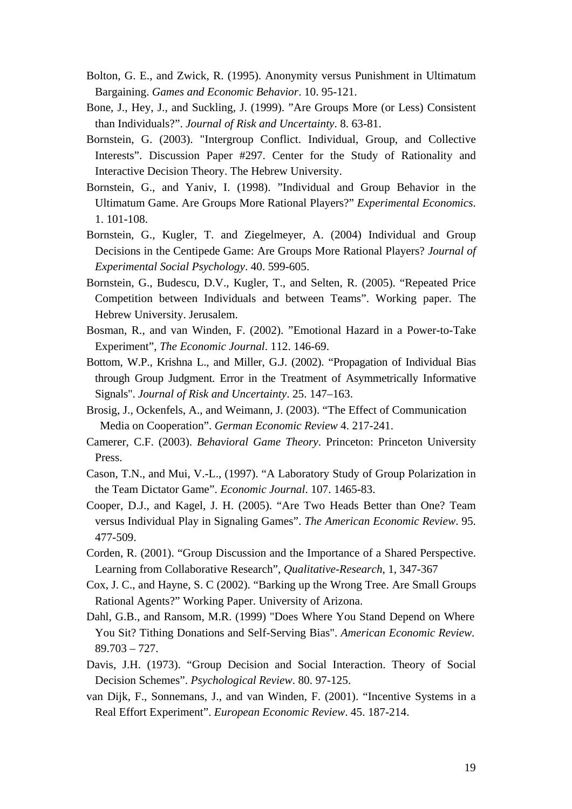- Bolton, G. E., and Zwick, R. (1995). Anonymity versus Punishment in Ultimatum Bargaining. *Games and Economic Behavior*. 10. 95-121.
- Bone, J., Hey, J., and Suckling, J. (1999). "Are Groups More (or Less) Consistent than Individuals?". *Journal of Risk and Uncertainty*. 8. 63-81.
- Bornstein, G. (2003). "Intergroup Conflict. Individual, Group, and Collective Interests". Discussion Paper #297. Center for the Study of Rationality and Interactive Decision Theory. The Hebrew University.
- Bornstein, G., and Yaniv, I. (1998). "Individual and Group Behavior in the Ultimatum Game. Are Groups More Rational Players?" *Experimental Economics*. 1. 101-108.
- Bornstein, G., Kugler, T. and Ziegelmeyer, A. (2004) Individual and Group Decisions in the Centipede Game: Are Groups More Rational Players? *Journal of Experimental Social Psychology*. 40. 599-605.
- Bornstein, G., Budescu, D.V., Kugler, T., and Selten, R. (2005). "Repeated Price Competition between Individuals and between Teams". Working paper. The Hebrew University. Jerusalem.
- Bosman, R., and van Winden, F. (2002). "Emotional Hazard in a Power-to-Take Experiment", *The Economic Journal*. 112. 146-69.
- Bottom, W.P., Krishna L., and Miller, G.J. (2002). "Propagation of Individual Bias through Group Judgment. Error in the Treatment of Asymmetrically Informative Signals". *Journal of Risk and Uncertainty*. 25. 147–163.
- Brosig, J., Ockenfels, A., and Weimann, J. (2003). "The Effect of Communication Media on Cooperation". *German Economic Review* 4. 217-241.
- Camerer, C.F. (2003). *Behavioral Game Theory*. Princeton: Princeton University Press.
- Cason, T.N., and Mui, V.-L., (1997). "A Laboratory Study of Group Polarization in the Team Dictator Game". *Economic Journal*. 107. 1465-83.
- Cooper, D.J., and Kagel, J. H. (2005). "Are Two Heads Better than One? Team versus Individual Play in Signaling Games". *The American Economic Review*. 95. 477-509.
- Corden, R. (2001). "Group Discussion and the Importance of a Shared Perspective. Learning from Collaborative Research", *Qualitative-Research*, 1, 347-367
- Cox, J. C., and Hayne, S. C (2002). "Barking up the Wrong Tree. Are Small Groups Rational Agents?" Working Paper. University of Arizona.
- Dahl, G.B., and Ransom, M.R. (1999) "Does Where You Stand Depend on Where You Sit? Tithing Donations and Self-Serving Bias". *American Economic Review*. 89.703 – 727.
- Davis, J.H. (1973). "Group Decision and Social Interaction. Theory of Social Decision Schemes". *Psychological Review*. 80. 97-125.
- van Dijk, F., Sonnemans, J., and van Winden, F. (2001). "Incentive Systems in a Real Effort Experiment". *European Economic Review*. 45. 187-214.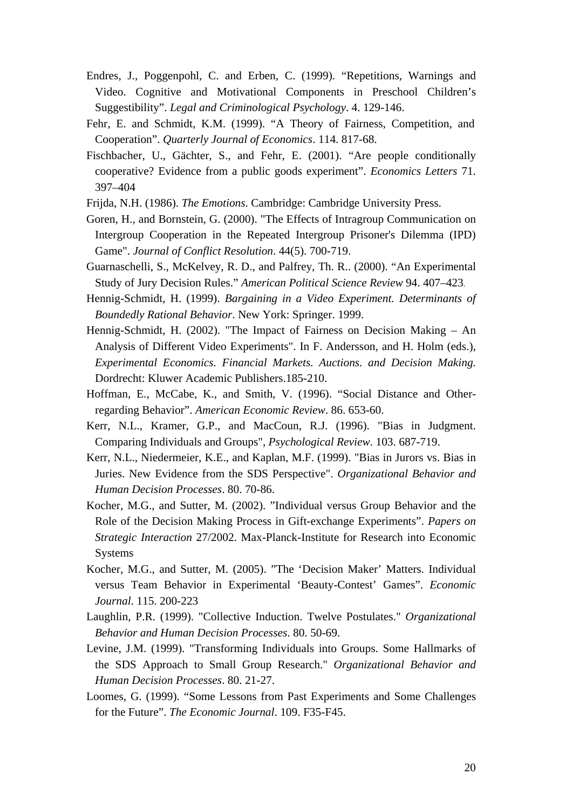- Endres, J., Poggenpohl, C. and Erben, C. (1999). "Repetitions, Warnings and Video. Cognitive and Motivational Components in Preschool Children's Suggestibility". *Legal and Criminological Psychology*. 4. 129-146.
- Fehr, E. and Schmidt, K.M. (1999). "A Theory of Fairness, Competition, and Cooperation". *Quarterly Journal of Economics*. 114. 817-68.
- Fischbacher, U., Gächter, S., and Fehr, E. (2001). "Are people conditionally cooperative? Evidence from a public goods experiment". *Economics Letters* 71. 397–404
- Frijda, N.H. (1986). *The Emotions*. Cambridge: Cambridge University Press.
- Goren, H., and Bornstein, G. (2000). "The Effects of Intragroup Communication on Intergroup Cooperation in the Repeated Intergroup Prisoner's Dilemma (IPD) Game". *Journal of Conflict Resolution*. 44(5). 700-719.
- Guarnaschelli, S., McKelvey, R. D., and Palfrey, Th. R.. (2000). "An Experimental Study of Jury Decision Rules." *American Political Science Review* 94. 407–423.
- Hennig-Schmidt, H. (1999). *Bargaining in a Video Experiment. Determinants of Boundedly Rational Behavior*. New York: Springer. 1999.
- Hennig-Schmidt, H. (2002). "The Impact of Fairness on Decision Making An Analysis of Different Video Experiments". In F. Andersson, and H. Holm (eds.), *Experimental Economics. Financial Markets. Auctions. and Decision Making.* Dordrecht: Kluwer Academic Publishers.185-210.
- Hoffman, E., McCabe, K., and Smith, V. (1996). "Social Distance and Otherregarding Behavior". *American Economic Review*. 86. 653-60.
- Kerr, N.L., Kramer, G.P., and MacCoun, R.J. (1996). "Bias in Judgment. Comparing Individuals and Groups", *Psychological Review*. 103. 687-719.
- Kerr, N.L., Niedermeier, K.E., and Kaplan, M.F. (1999). "Bias in Jurors vs. Bias in Juries. New Evidence from the SDS Perspective". *Organizational Behavior and Human Decision Processes*. 80. 70-86.
- Kocher, M.G., and Sutter, M. (2002). "Individual versus Group Behavior and the Role of the Decision Making Process in Gift-exchange Experiments". *Papers on Strategic Interaction* 27/2002. Max-Planck-Institute for Research into Economic **Systems**
- Kocher, M.G., and Sutter, M. (2005). "The 'Decision Maker' Matters. Individual versus Team Behavior in Experimental 'Beauty-Contest' Games". *Economic Journal*. 115. 200-223
- Laughlin, P.R. (1999). "Collective Induction. Twelve Postulates." *Organizational Behavior and Human Decision Processes*. 80. 50-69.
- Levine, J.M. (1999). "Transforming Individuals into Groups. Some Hallmarks of the SDS Approach to Small Group Research." *Organizational Behavior and Human Decision Processes*. 80. 21-27.
- Loomes, G. (1999). "Some Lessons from Past Experiments and Some Challenges for the Future". *The Economic Journal*. 109. F35-F45.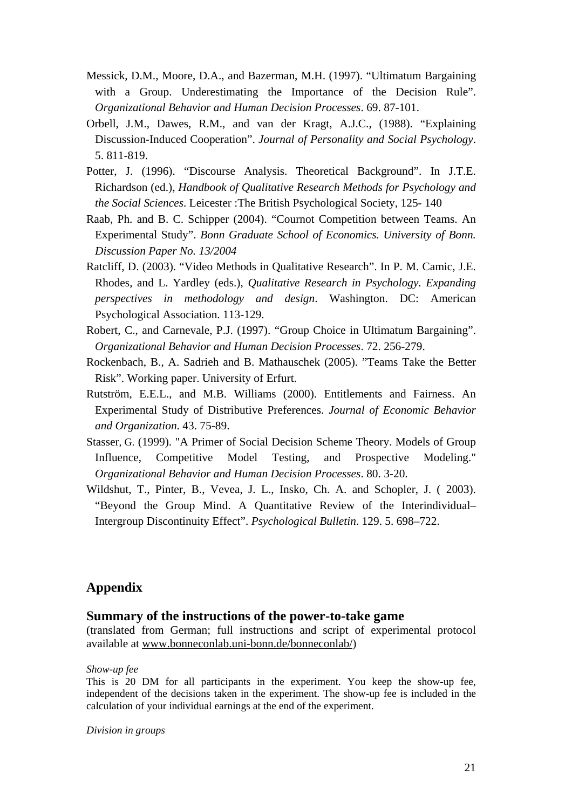- Messick, D.M., Moore, D.A., and Bazerman, M.H. (1997). "Ultimatum Bargaining with a Group. Underestimating the Importance of the Decision Rule". *Organizational Behavior and Human Decision Processes*. 69. 87-101.
- Orbell, J.M., Dawes, R.M., and van der Kragt, A.J.C., (1988). "Explaining Discussion-Induced Cooperation". *Journal of Personality and Social Psychology*. 5. 811-819.
- Potter, J. (1996). "Discourse Analysis. Theoretical Background". In J.T.E. Richardson (ed.), *Handbook of Qualitative Research Methods for Psychology and the Social Sciences*. Leicester :The British Psychological Society, 125- 140
- Raab, Ph. and B. C. Schipper (2004). "Cournot Competition between Teams. An Experimental Study". *Bonn Graduate School of Economics. University of Bonn. Discussion Paper No. 13/2004*

Ratcliff, D. (2003). "Video Methods in Qualitative Research". In P. M. Camic, J.E. Rhodes, and L. Yardley (eds.), *Qualitative Research in Psychology. Expanding perspectives in methodology and design*. Washington. DC: American Psychological Association. 113-129.

- Robert, C., and Carnevale, P.J. (1997). "Group Choice in Ultimatum Bargaining". *Organizational Behavior and Human Decision Processes*. 72. 256-279.
- Rockenbach, B., A. Sadrieh and B. Mathauschek (2005). "Teams Take the Better Risk". Working paper. University of Erfurt.
- Rutström, E.E.L., and M.B. Williams (2000). Entitlements and Fairness. An Experimental Study of Distributive Preferences. *Journal of Economic Behavior and Organization*. 43. 75-89.
- Stasser, G. (1999). "A Primer of Social Decision Scheme Theory. Models of Group Influence, Competitive Model Testing, and Prospective Modeling." *Organizational Behavior and Human Decision Processes*. 80. 3-20.
- Wildshut, T., Pinter, B., Vevea, J. L., Insko, Ch. A. and Schopler, J. ( 2003). "Beyond the Group Mind. A Quantitative Review of the Interindividual– Intergroup Discontinuity Effect". *Psychological Bulletin*. 129. 5. 698–722.

## **Appendix**

### **Summary of the instructions of the power-to-take game**

(translated from German; full instructions and script of experimental protocol available at www.bonneconlab.uni-bonn.de/bonneconlab/)

#### *Show-up fee*

This is 20 DM for all participants in the experiment. You keep the show-up fee, independent of the decisions taken in the experiment. The show-up fee is included in the calculation of your individual earnings at the end of the experiment.

*Division in groups*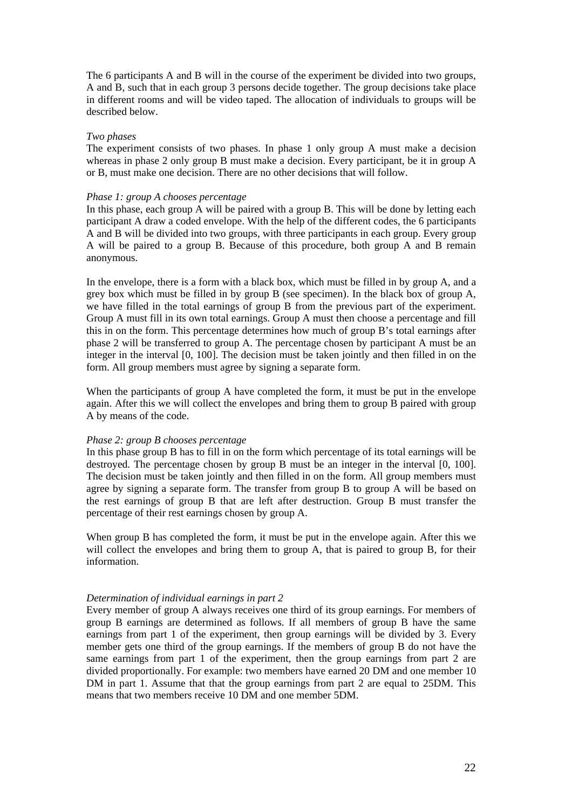The 6 participants A and B will in the course of the experiment be divided into two groups, A and B, such that in each group 3 persons decide together. The group decisions take place in different rooms and will be video taped. The allocation of individuals to groups will be described below.

#### *Two phases*

The experiment consists of two phases. In phase 1 only group A must make a decision whereas in phase 2 only group B must make a decision. Every participant, be it in group A or B, must make one decision. There are no other decisions that will follow.

#### *Phase 1: group A chooses percentage*

In this phase, each group A will be paired with a group B. This will be done by letting each participant A draw a coded envelope. With the help of the different codes, the 6 participants A and B will be divided into two groups, with three participants in each group. Every group A will be paired to a group B. Because of this procedure, both group A and B remain anonymous.

In the envelope, there is a form with a black box, which must be filled in by group A, and a grey box which must be filled in by group B (see specimen). In the black box of group A, we have filled in the total earnings of group B from the previous part of the experiment. Group A must fill in its own total earnings. Group A must then choose a percentage and fill this in on the form. This percentage determines how much of group B's total earnings after phase 2 will be transferred to group A. The percentage chosen by participant A must be an integer in the interval [0, 100]. The decision must be taken jointly and then filled in on the form. All group members must agree by signing a separate form.

When the participants of group A have completed the form, it must be put in the envelope again. After this we will collect the envelopes and bring them to group B paired with group A by means of the code.

#### *Phase 2: group B chooses percentage*

In this phase group B has to fill in on the form which percentage of its total earnings will be destroyed. The percentage chosen by group B must be an integer in the interval [0, 100]. The decision must be taken jointly and then filled in on the form. All group members must agree by signing a separate form. The transfer from group B to group A will be based on the rest earnings of group B that are left after destruction. Group B must transfer the percentage of their rest earnings chosen by group A.

When group B has completed the form, it must be put in the envelope again. After this we will collect the envelopes and bring them to group A, that is paired to group B, for their information.

#### *Determination of individual earnings in part 2*

Every member of group A always receives one third of its group earnings. For members of group B earnings are determined as follows. If all members of group B have the same earnings from part 1 of the experiment, then group earnings will be divided by 3. Every member gets one third of the group earnings. If the members of group B do not have the same earnings from part 1 of the experiment, then the group earnings from part 2 are divided proportionally. For example: two members have earned 20 DM and one member 10 DM in part 1. Assume that that the group earnings from part 2 are equal to 25DM. This means that two members receive 10 DM and one member 5DM.